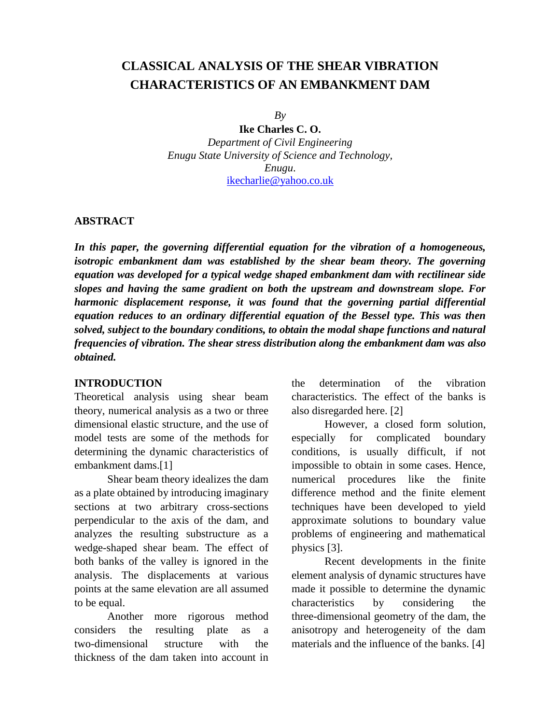# **CLASSICAL ANALYSIS OF THE SHEAR VIBRATION CHARACTERISTICS OF AN EMBANKMENT DAM**

*By* 

**Ike Charles C. O.** *Department of Civil Engineering Enugu State University of Science and Technology, Enugu*. [ikecharlie@yahoo.co.uk](mailto:ikecharlie@yahoo.co.uk)

#### **ABSTRACT**

*In this paper, the governing differential equation for the vibration of a homogeneous, isotropic embankment dam was established by the shear beam theory. The governing equation was developed for a typical wedge shaped embankment dam with rectilinear side slopes and having the same gradient on both the upstream and downstream slope. For harmonic displacement response, it was found that the governing partial differential equation reduces to an ordinary differential equation of the Bessel type. This was then solved, subject to the boundary conditions, to obtain the modal shape functions and natural frequencies of vibration. The shear stress distribution along the embankment dam was also obtained.*

### **INTRODUCTION**

Theoretical analysis using shear beam theory, numerical analysis as a two or three dimensional elastic structure, and the use of model tests are some of the methods for determining the dynamic characteristics of embankment dams.[1]

Shear beam theory idealizes the dam as a plate obtained by introducing imaginary sections at two arbitrary cross-sections perpendicular to the axis of the dam, and analyzes the resulting substructure as a wedge-shaped shear beam. The effect of both banks of the valley is ignored in the analysis. The displacements at various points at the same elevation are all assumed to be equal.

Another more rigorous method considers the resulting plate as a two-dimensional structure with the thickness of the dam taken into account in the determination of the vibration characteristics. The effect of the banks is also disregarded here. [2]

However, a closed form solution, especially for complicated boundary conditions, is usually difficult, if not impossible to obtain in some cases. Hence, numerical procedures like the finite difference method and the finite element techniques have been developed to yield approximate solutions to boundary value problems of engineering and mathematical physics [3].

Recent developments in the finite element analysis of dynamic structures have made it possible to determine the dynamic characteristics by considering the three-dimensional geometry of the dam, the anisotropy and heterogeneity of the dam materials and the influence of the banks. [4]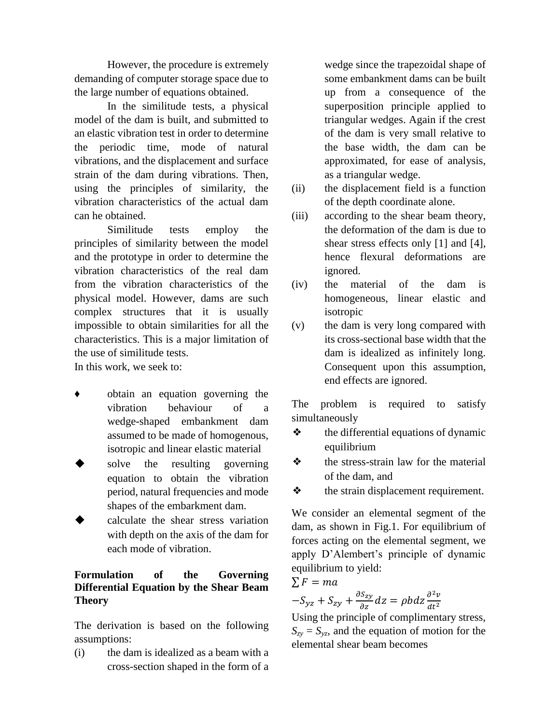However, the procedure is extremely demanding of computer storage space due to the large number of equations obtained.

In the similitude tests, a physical model of the dam is built, and submitted to an elastic vibration test in order to determine the periodic time, mode of natural vibrations, and the displacement and surface strain of the dam during vibrations. Then, using the principles of similarity, the vibration characteristics of the actual dam can he obtained.

Similitude tests employ the principles of similarity between the model and the prototype in order to determine the vibration characteristics of the real dam from the vibration characteristics of the physical model. However, dams are such complex structures that it is usually impossible to obtain similarities for all the characteristics. This is a major limitation of the use of similitude tests.

In this work, we seek to:

- ♦ obtain an equation governing the vibration behaviour of a wedge-shaped embankment dam assumed to be made of homogenous, isotropic and linear elastic material
- solve the resulting governing equation to obtain the vibration period, natural frequencies and mode shapes of the embarkment dam.
- calculate the shear stress variation with depth on the axis of the dam for each mode of vibration.

## **Formulation of the Governing Differential Equation by the Shear Beam Theory**

The derivation is based on the following assumptions:

(i) the dam is idealized as a beam with a cross-section shaped in the form of a wedge since the trapezoidal shape of some embankment dams can be built up from a consequence of the superposition principle applied to triangular wedges. Again if the crest of the dam is very small relative to the base width, the dam can be approximated, for ease of analysis, as a triangular wedge.

- (ii) the displacement field is a function of the depth coordinate alone.
- (iii) according to the shear beam theory, the deformation of the dam is due to shear stress effects only [1] and [4], hence flexural deformations are ignored.
- (iv) the material of the dam is homogeneous, linear elastic and isotropic
- (v) the dam is very long compared with its cross-sectional base width that the dam is idealized as infinitely long. Consequent upon this assumption, end effects are ignored.

The problem is required to satisfy simultaneously

- ❖ the differential equations of dynamic equilibrium
- ❖ the stress-strain law for the material of the dam, and
- ❖ the strain displacement requirement.

We consider an elemental segment of the dam, as shown in Fig.1. For equilibrium of forces acting on the elemental segment, we apply D'Alembert's principle of dynamic equilibrium to yield:

 $\Sigma F = ma$ 

$$
-S_{yz} + S_{zy} + \frac{\partial S_{zy}}{\partial z} dz = \rho b dz \frac{\partial^2 v}{\partial t^2}
$$

Using the principle of complimentary stress,  $S_{zy} = S_{yz}$ , and the equation of motion for the elemental shear beam becomes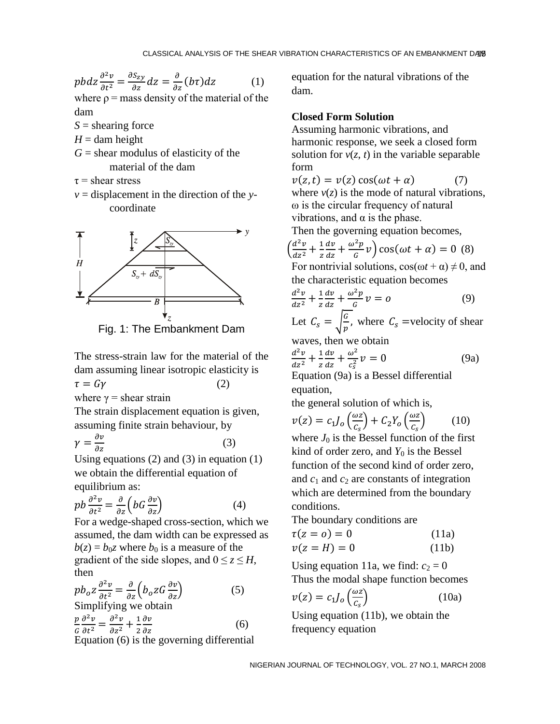$$
pbdz\frac{\partial^2 v}{\partial t^2} = \frac{\partial S_{zy}}{\partial z}dz = \frac{\partial}{\partial z}(b\tau)dz\tag{1}
$$

where  $p =$  mass density of the material of the dam

*S* = shearing force

 $H =$  dam height

 $G =$  shear modulus of elasticity of the material of the dam

 $\tau$  = shear stress

*v* = displacement in the direction of the *y* coordinate



Fig. 1: The Embankment Dam

The stress-strain law for the material of the dam assuming linear isotropic elasticity is

$$
\tau = G\gamma \tag{2}
$$

where  $\gamma$  = shear strain

The strain displacement equation is given, assuming finite strain behaviour, by

$$
\gamma = \frac{\partial v}{\partial z} \tag{3}
$$

Using equations  $(2)$  and  $(3)$  in equation  $(1)$ we obtain the differential equation of equilibrium as:

$$
pb\frac{\partial^2 v}{\partial t^2} = \frac{\partial}{\partial z} \left(bG\frac{\partial v}{\partial z}\right) \tag{4}
$$

For a wedge-shaped cross-section, which we assumed, the dam width can be expressed as  $b(z) = b_0 z$  where  $b_0$  is a measure of the gradient of the side slopes, and  $0 \le z \le H$ , then

$$
pb_oz \frac{\partial^2 v}{\partial t^2} = \frac{\partial}{\partial z} \left( b_oz G \frac{\partial v}{\partial z} \right)
$$
 (5)  
Simplifying we obtain

$$
\frac{p}{G}\frac{\partial^2 v}{\partial t^2} = \frac{\partial^2 v}{\partial z^2} + \frac{1}{2}\frac{\partial v}{\partial z}
$$
(6)

Equation (6) is the governing differential

equation for the natural vibrations of the dam.

#### **Closed Form Solution**

Assuming harmonic vibrations, and harmonic response, we seek a closed form solution for  $v(z, t)$  in the variable separable form

$$
v(z, t) = v(z) \cos(\omega t + \alpha)
$$
 (7)  
where  $v(z)$  is the mode of natural vibrations,  
  $\omega$  is the circular frequency of natural  
 vibrations, and  $\alpha$  is the phase.

Then the governing equation becomes,

$$
\left(\frac{d^2v}{dz^2} + \frac{1}{z}\frac{dv}{dz} + \frac{\omega^2p}{G}v\right)\cos(\omega t + \alpha) = 0
$$
 (8)  
For nontrivial solutions,  $\cos(\omega t + \alpha) \neq 0$ , and

the characteristic equation becomes

$$
\frac{d^2v}{dz^2} + \frac{1}{z}\frac{dv}{dz} + \frac{\omega^2p}{G}v = 0
$$
 (9)

Let 
$$
C_s = \sqrt{\frac{G}{p}}
$$
, where  $C_s$  =velocity of shear

waves, then we obtain

$$
\frac{d^2v}{dz^2} + \frac{1}{z}\frac{dv}{dz} + \frac{\omega^2}{c_s^2}v = 0
$$
 (9a)

Equation (9a) is a Bessel differential equation,

the general solution of which is,

$$
v(z) = c_1 J_o \left(\frac{\omega z}{c_s}\right) + C_2 Y_o \left(\frac{\omega z}{c_s}\right) \tag{10}
$$

where  $J_0$  is the Bessel function of the first kind of order zero, and  $Y_0$  is the Bessel function of the second kind of order zero, and  $c_1$  and  $c_2$  are constants of integration which are determined from the boundary conditions.

The boundary conditions are

$$
\tau(z = o) = 0 \tag{11a}
$$

$$
v(z = H) = 0 \tag{11b}
$$

Using equation 11a, we find:  $c_2 = 0$ Thus the modal shape function becomes

$$
v(z) = c_1 J_o \left(\frac{\omega z}{c_s}\right) \tag{10a}
$$

Using equation (11b), we obtain the frequency equation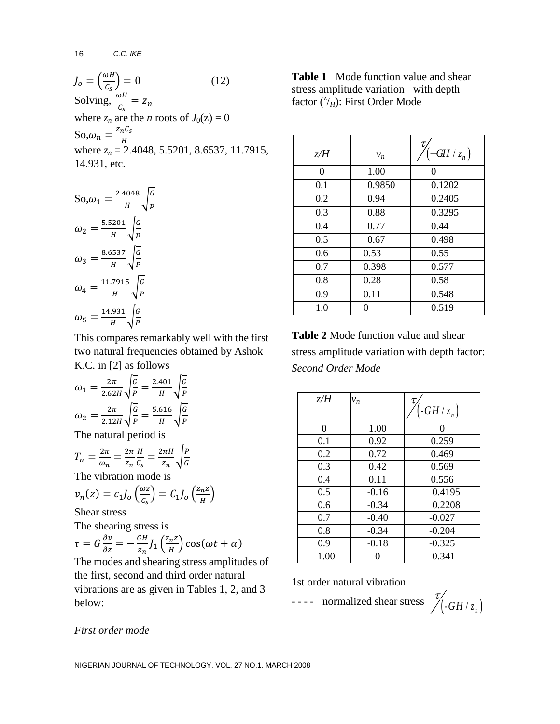$$
J_o = \left(\frac{\omega H}{c_s}\right) = 0
$$
 (12)  
Solving,  $\frac{\omega H}{c_s} = z_n$   
where  $z_n$  are the *n* roots of  $J_0(z) = 0$   
So,  $\omega_n = \frac{z_n c_s}{H}$   
where  $z_n = 2.4048, 5.5201, 8.6537, 11.7915,$   
14.931, etc.

So, 
$$
\omega_1 = \frac{2.4048}{H} \sqrt{\frac{G}{p}}
$$
  
\n $\omega_2 = \frac{5.5201}{H} \sqrt{\frac{G}{p}}$   
\n $\omega_3 = \frac{8.6537}{H} \sqrt{\frac{G}{P}}$   
\n $\omega_4 = \frac{11.7915}{H} \sqrt{\frac{G}{P}}$   
\n $\omega_5 = \frac{14.931}{H} \sqrt{\frac{G}{P}}$ 

This compares remarkably well with the first two natural frequencies obtained by Ashok K.C. in [2] as follows

G

$$
\omega_1 = \frac{2\pi}{2.62H} \sqrt{\frac{G}{P}} = \frac{2.401}{H} \sqrt{\frac{G}{P}}
$$

$$
\omega_2 = \frac{2\pi}{2.12H} \sqrt{\frac{G}{P}} = \frac{5.616}{H} \sqrt{\frac{G}{P}}
$$
The natural period is

 $T_n = \frac{2}{3}$  $\frac{2\pi}{\omega_n} = \frac{2}{z}$ z H  $\frac{H}{C_S} = \frac{2}{\epsilon}$  $\frac{2\pi H}{z_n}$   $\sqrt{\frac{P}{G}}$ 

The vibration mode is

$$
v_n(z) = c_1 J_o\left(\frac{\omega z}{c_s}\right) = C_1 J_o\left(\frac{z_n z}{H}\right)
$$
  
Shear stress

Shear stress

The shearing stress is

$$
\tau = G \frac{\partial v}{\partial z} = -\frac{GH}{z_n} J_1 \left( \frac{z_n z}{H} \right) \cos(\omega t + \alpha)
$$

The modes and shearing stress amplitudes of the first, second and third order natural vibrations are as given in Tables 1, 2, and 3 below:

**Table 1** Mode function value and shear stress amplitude variation with depth factor (<sup>2</sup>/<sub>H</sub>): First Order Mode

| z/H | $v_n$  | $(-GH/z_n)$ |
|-----|--------|-------------|
| 0   | 1.00   | 0           |
| 0.1 | 0.9850 | 0.1202      |
| 0.2 | 0.94   | 0.2405      |
| 0.3 | 0.88   | 0.3295      |
| 0.4 | 0.77   | 0.44        |
| 0.5 | 0.67   | 0.498       |
| 0.6 | 0.53   | 0.55        |
| 0.7 | 0.398  | 0.577       |
| 0.8 | 0.28   | 0.58        |
| 0.9 | 0.11   | 0.548       |
| 1.0 | 0      | 0.519       |

**Table 2** Mode function value and shear stress amplitude variation with depth factor: *Second Order Mode*

| z/H  | $v_n$   | τ                      |
|------|---------|------------------------|
|      |         | $\left(-GH/z_n\right)$ |
| 0    | 1.00    | $\Omega$               |
| 0.1  | 0.92    | 0.259                  |
| 0.2  | 0.72    | 0.469                  |
| 0.3  | 0.42    | 0.569                  |
| 0.4  | 0.11    | 0.556                  |
| 0.5  | $-0.16$ | 0.4195                 |
| 0.6  | $-0.34$ | 0.2208                 |
| 0.7  | $-0.40$ | $-0.027$               |
| 0.8  | $-0.34$ | $-0.204$               |
| 0.9  | $-0.18$ | $-0.325$               |
| 1.00 |         | $-0.341$               |

1st order natural vibration

- - - - normalized shear stress

$$
\mathcal{I}_{\left( -GH+z_{n}\right) }^{\mathcal{I}_{\left( -GH+z_{n}\right) }}
$$

#### *First order mode*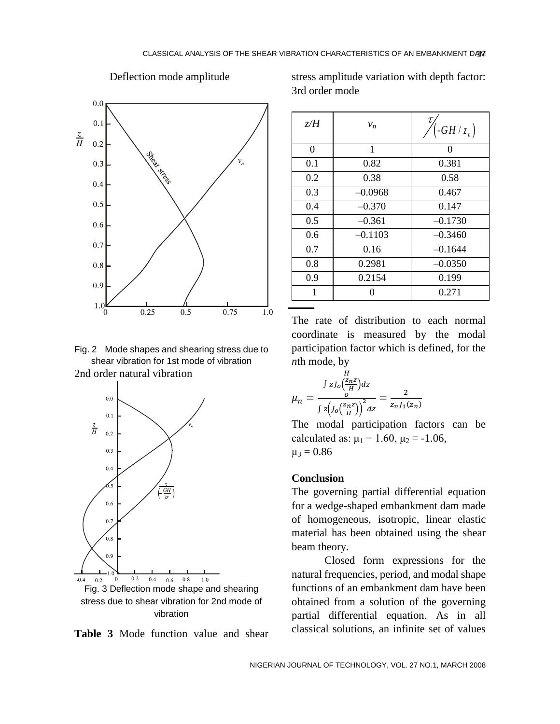

Deflection mode amplitude

Fig. 2 Mode shapes and shearing stress due to shear vibration for 1st mode of vibration 2nd order natural vibration





stress amplitude variation with depth factor: 3rd order mode

| z/H            | $v_n$     | $\left(-GH/z_n\right)$ |
|----------------|-----------|------------------------|
| $\overline{0}$ | 1         | 0                      |
| 0.1            | 0.82      | 0.381                  |
| 0.2            | 0.38      | 0.58                   |
| 0.3            | $-0.0968$ | 0.467                  |
| 0.4            | $-0.370$  | 0.147                  |
| 0.5            | $-0.361$  | $-0.1730$              |
| 0.6            | $-0.1103$ | $-0.3460$              |
| 0.7            | 0.16      | $-0.1644$              |
| 0.8            | 0.2981    | $-0.0350$              |
| 0.9            | 0.2154    | 0.199                  |
| 1              | 0         | 0.271                  |

The rate of distribution to each normal coordinate is measured by the modal participation factor which is defined, for the *n*th mode, by

$$
\mu_n = \frac{\int z J_0 \left(\frac{z_n z}{H}\right) dz}{\int z \left(J_0 \left(\frac{z_n z}{H}\right)\right)^2 dz} = \frac{2}{z_n J_1(z_n)}
$$

The modal participation factors can be calculated as:  $\mu_1 = 1.60$ ,  $\mu_2 = -1.06$ ,  $\mu_3 = 0.86$ 

#### **Conclusion**

The governing partial differential equation for a wedge-shaped embankment dam made of homogeneous, isotropic, linear elastic material has been obtained using the shear beam theory.

Closed form expressions for the natural frequencies, period, and modal shape functions of an embankment dam have been obtained from a solution of the governing partial differential equation. As in all classical solutions, an infinite set of values